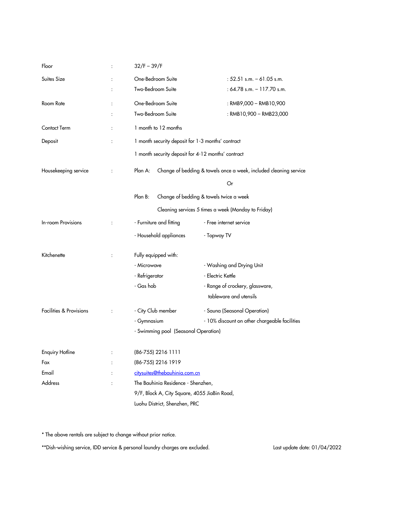| Floor                   | $\ddot{\cdot}$       | $32/F - 39/F$                                                                                             |                                               |
|-------------------------|----------------------|-----------------------------------------------------------------------------------------------------------|-----------------------------------------------|
| Suites Size             |                      | One-Bedroom Suite                                                                                         | : $52.51$ s.m. $-61.05$ s.m.                  |
|                         |                      | Two-Bedroom Suite                                                                                         | : $64.78$ s.m. $-117.70$ s.m.                 |
| Room Rate               |                      | One-Bedroom Suite                                                                                         | : RMB9,000 - RMB10,900                        |
|                         |                      | Two-Bedroom Suite                                                                                         | : RMB10,900 - RMB23,000                       |
| Contact Term            | $\ddot{\cdot}$       | 1 month to 12 months                                                                                      |                                               |
| Deposit                 | :                    | 1 month security deposit for 1-3 months' contract                                                         |                                               |
|                         |                      | 1 month security deposit for 4-12 months' contract                                                        |                                               |
| Housekeeping service    | $\ddot{\cdot}$       | Plan A:<br>Change of bedding & towels once a week, included cleaning service                              |                                               |
|                         |                      |                                                                                                           | Or                                            |
|                         |                      | Plan B:<br>Change of bedding & towels twice a week<br>Cleaning services 5 times a week (Monday to Friday) |                                               |
|                         |                      |                                                                                                           |                                               |
| In-room Provisions      | $\ddot{\phantom{a}}$ | - Furniture and fitting                                                                                   | - Free internet service                       |
|                         |                      | - Household appliances                                                                                    | - Topway TV                                   |
| Kitchenette             |                      | Fully equipped with:                                                                                      |                                               |
|                         |                      | - Microwave                                                                                               | - Washing and Drying Unit                     |
|                         |                      | - Refrigerator                                                                                            | - Electric Kettle                             |
|                         |                      | - Gas hob                                                                                                 | - Range of crockery, glassware,               |
|                         |                      |                                                                                                           | tableware and utensils                        |
| Facilities & Provisions |                      | - City Club member                                                                                        | - Sauna (Seasonal Operation)                  |
|                         |                      | - Gymnasium                                                                                               | - 10% discount on other chargeable facilities |
|                         |                      | - Swimming pool (Seasonal Operation)                                                                      |                                               |
| <b>Enquiry Hotline</b>  |                      | (86-755) 2216 1111                                                                                        |                                               |
| Fax                     |                      | (86-755) 2216 1919                                                                                        |                                               |
| Email                   |                      | citysuites@thebauhinia.com.cn                                                                             |                                               |
| Address                 |                      | The Bauhinia Residence - Shenzhen,                                                                        |                                               |
|                         |                      | 9/F, Block A, City Square, 4055 JiaBin Road,                                                              |                                               |
|                         |                      | Luohu District, Shenzhen, PRC                                                                             |                                               |

\* The above rentals are subject to change without prior notice.

\*\*Dish-wishing service, IDD service & personal laundry charges are excluded. Last update date: 01/04/2022